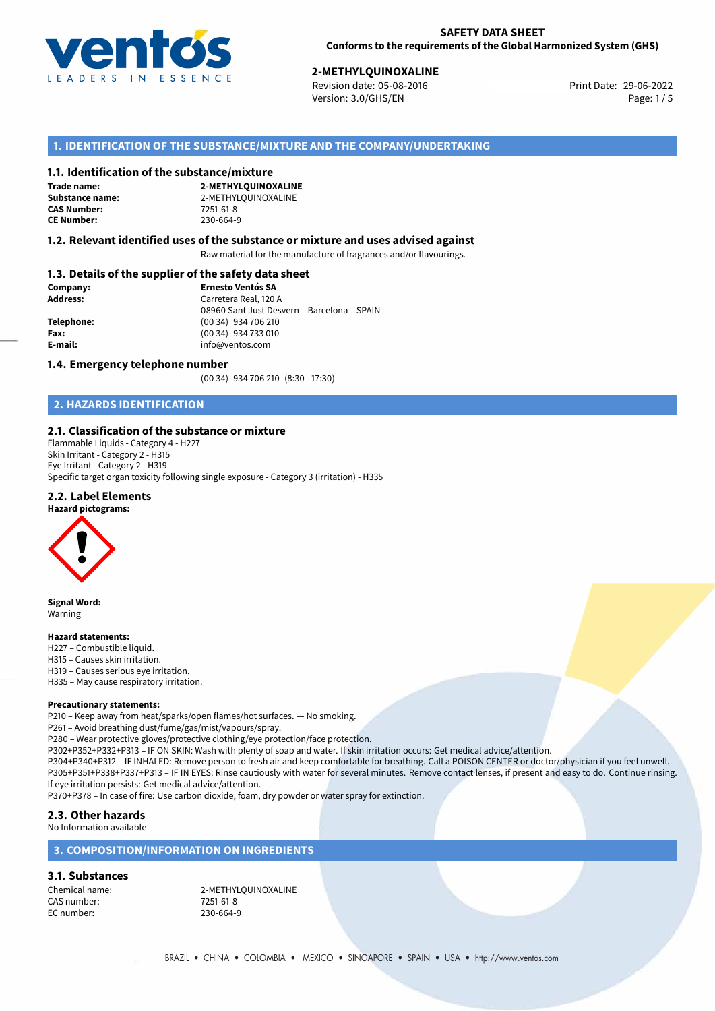

29-06-2022 **2-METHYLQUINOXALINE** Revision date: 05-08-2016 Print Date: Version: 3.0/GHS/EN Page: 1/5

# **1. IDENTIFICATION OF THE SUBSTANCE/MIXTURE AND THE COMPANY/UNDERTAKING**

#### **1.1. Identification of the substance/mixture**

**Trade name: CAS Number: CE Number:** 230-664-9

**2-METHYLQUINOXALINE Substance name:** 2-METHYLQUINOXALINE<br> **CAS Number:** 7251-61-8

#### **1.2. Relevant identified uses of the substance or mixture and uses advised against**

Raw material for the manufacture of fragrances and/or flavourings.

### **1.3. Details of the supplier of the safety data sheet**

| Company:        | <b>Ernesto Ventós SA</b>                    |  |
|-----------------|---------------------------------------------|--|
| <b>Address:</b> | Carretera Real, 120 A                       |  |
|                 | 08960 Sant Just Desvern - Barcelona - SPAIN |  |
| Telephone:      | (00 34) 934 706 210                         |  |
| Fax:            | (00 34) 934 733 010                         |  |
| E-mail:         | info@ventos.com                             |  |
|                 |                                             |  |

#### **1.4. Emergency telephone number**

(00 34) 934 706 210 (8:30 - 17:30)

# **2. HAZARDS IDENTIFICATION**

### **2.1. Classification of the substance or mixture**

Flammable Liquids - Category 4 - H227 Skin Irritant - Category 2 - H315 Eye Irritant - Category 2 - H319 Specific target organ toxicity following single exposure - Category 3 (irritation) - H335

#### **2.2. Label Elements**

#### **Hazard pictograms:**



**Signal Word:** Warning

#### **Hazard statements:**

H227 – Combustible liquid.

- H315 Causes skin irritation.
- H319 Causes serious eye irritation.
- H335 May cause respiratory irritation.

#### **Precautionary statements:**

P210 – Keep away from heat/sparks/open flames/hot surfaces. — No smoking.

P261 – Avoid breathing dust/fume/gas/mist/vapours/spray.

P280 – Wear protective gloves/protective clothing/eye protection/face protection.

P302+P352+P332+P313 – IF ON SKIN: Wash with plenty of soap and water. If skin irritation occurs: Get medical advice/attention.

P304+P340+P312 – IF INHALED: Remove person to fresh air and keep comfortable for breathing. Call a POISON CENTER or doctor/physician if you feel unwell. P305+P351+P338+P337+P313 – IF IN EYES: Rinse cautiously with water for several minutes. Remove contact lenses, if present and easy to do. Continue rinsing. If eye irritation persists: Get medical advice/attention.

P370+P378 – In case of fire: Use carbon dioxide, foam, dry powder or water spray for extinction.

# **2.3. Other hazards**

No Information available

### **3. COMPOSITION/INFORMATION ON INGREDIENTS**

#### **3.1. Substances**

CAS number: 7251-61-8 EC number: 230-664-9

Chemical name: 2-METHYLQUINOXALINE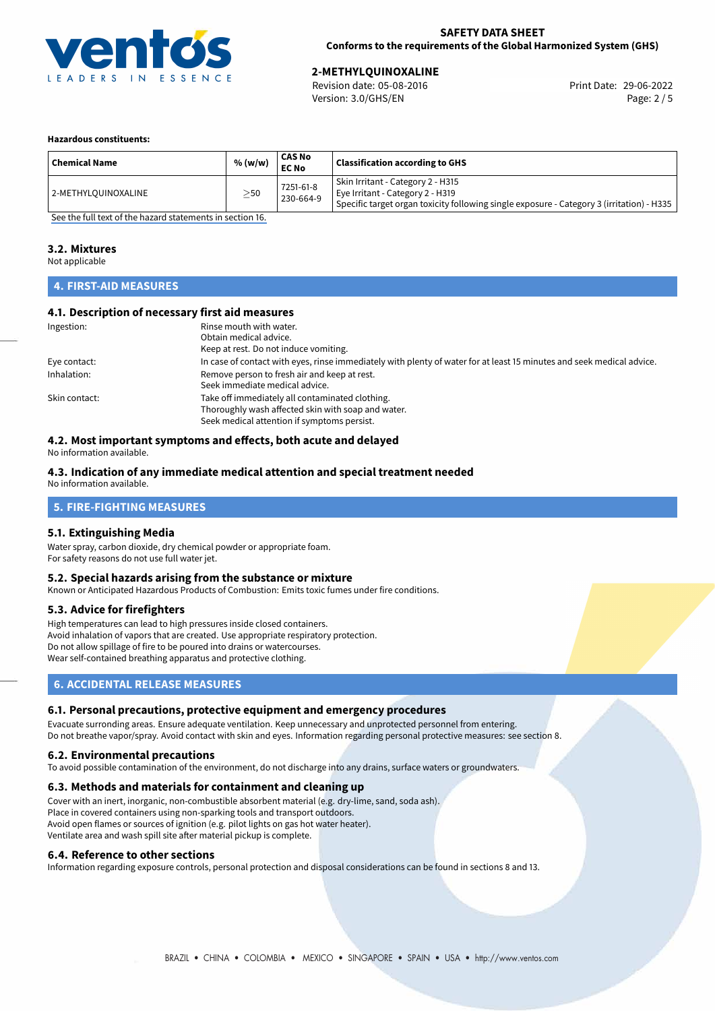

29-06-2022 **2-METHYLQUINOXALINE** Revision date: 05-08-2016 Print Date: Version: 3.0/GHS/EN Page: 2 / 5

#### **Hazardous constituents:**

| <b>Chemical Name</b> | % (w/w)   | <b>CAS No</b><br><b>EC No</b> | <b>Classification according to GHS</b>                                                                                                                             |
|----------------------|-----------|-------------------------------|--------------------------------------------------------------------------------------------------------------------------------------------------------------------|
| 12-METHYLQUINOXALINE | $\geq$ 50 | 7251-61-8<br>230-664-9        | Skin Irritant - Category 2 - H315<br>Eye Irritant - Category 2 - H319<br>Specific target organ toxicity following single exposure - Category 3 (irritation) - H335 |

[See the full text of the hazard statements in section 16.](#page-4-0)

#### **3.2. Mixtures**

Not applicable

# **4. FIRST-AID MEASURES**

#### **4.1. Description of necessary first aid measures**

| Ingestion:    | Rinse mouth with water.                                                                                               |
|---------------|-----------------------------------------------------------------------------------------------------------------------|
|               | Obtain medical advice.                                                                                                |
|               | Keep at rest. Do not induce vomiting.                                                                                 |
| Eye contact:  | In case of contact with eyes, rinse immediately with plenty of water for at least 15 minutes and seek medical advice. |
| Inhalation:   | Remove person to fresh air and keep at rest.                                                                          |
|               | Seek immediate medical advice.                                                                                        |
| Skin contact: | Take off immediately all contaminated clothing.                                                                       |
|               | Thoroughly wash affected skin with soap and water.                                                                    |
|               | Seek medical attention if symptoms persist.                                                                           |

# **4.2. Most important symptoms and effects, both acute and delayed**

No information available.

#### **4.3. Indication of any immediate medical attention and special treatment needed**

No information available.

# **5. FIRE-FIGHTING MEASURES**

#### **5.1. Extinguishing Media**

Water spray, carbon dioxide, dry chemical powder or appropriate foam. For safety reasons do not use full water jet.

#### **5.2. Special hazards arising from the substance or mixture**

Known or Anticipated Hazardous Products of Combustion: Emits toxic fumes under fire conditions.

#### **5.3. Advice for firefighters**

High temperatures can lead to high pressures inside closed containers. Avoid inhalation of vapors that are created. Use appropriate respiratory protection. Do not allow spillage of fire to be poured into drains or watercourses. Wear self-contained breathing apparatus and protective clothing.

# **6. ACCIDENTAL RELEASE MEASURES**

#### **6.1. Personal precautions, protective equipment and emergency procedures**

Evacuate surronding areas. Ensure adequate ventilation. Keep unnecessary and unprotected personnel from entering. Do not breathe vapor/spray. Avoid contact with skin and eyes. Information regarding personal protective measures: see section 8.

#### **6.2. Environmental precautions**

To avoid possible contamination of the environment, do not discharge into any drains, surface waters or groundwaters.

#### **6.3. Methods and materials for containment and cleaning up**

Cover with an inert, inorganic, non-combustible absorbent material (e.g. dry-lime, sand, soda ash). Place in covered containers using non-sparking tools and transport outdoors. Avoid open flames or sources of ignition (e.g. pilot lights on gas hot water heater). Ventilate area and wash spill site after material pickup is complete.

#### **6.4. Reference to other sections**

Information regarding exposure controls, personal protection and disposal considerations can be found in sections 8 and 13.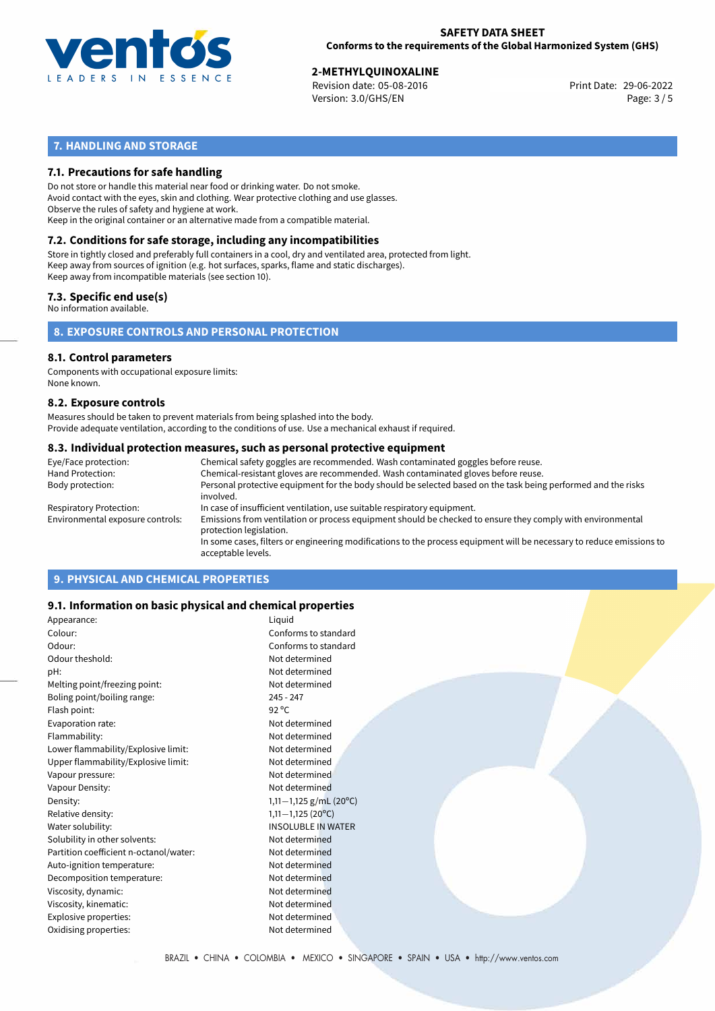

29-06-2022 **2-METHYLQUINOXALINE** Revision date: 05-08-2016 Print Date: Version: 3.0/GHS/EN Page: 3 / 5

# **7. HANDLING AND STORAGE**

# **7.1. Precautions for safe handling**

Do not store or handle this material near food or drinking water. Do not smoke. Avoid contact with the eyes, skin and clothing. Wear protective clothing and use glasses. Observe the rules of safety and hygiene at work. Keep in the original container or an alternative made from a compatible material.

# **7.2. Conditions for safe storage, including any incompatibilities**

Store in tightly closed and preferably full containers in a cool, dry and ventilated area, protected from light. Keep away from sources of ignition (e.g. hot surfaces, sparks, flame and static discharges). Keep away from incompatible materials (see section 10).

### **7.3. Specific end use(s)**

No information available.

**8. EXPOSURE CONTROLS AND PERSONAL PROTECTION**

# **8.1. Control parameters**

Components with occupational exposure limits: None known.

#### **8.2. Exposure controls**

Measures should be taken to prevent materials from being splashed into the body. Provide adequate ventilation, according to the conditions of use. Use a mechanical exhaust if required.

#### **8.3. Individual protection measures, such as personal protective equipment**

| Eye/Face protection:             | Chemical safety goggles are recommended. Wash contaminated goggles before reuse.                                                            |
|----------------------------------|---------------------------------------------------------------------------------------------------------------------------------------------|
| Hand Protection:                 | Chemical-resistant gloves are recommended. Wash contaminated gloves before reuse.                                                           |
| Body protection:                 | Personal protective equipment for the body should be selected based on the task being performed and the risks<br>involved.                  |
| Respiratory Protection:          | In case of insufficient ventilation, use suitable respiratory equipment.                                                                    |
| Environmental exposure controls: | Emissions from ventilation or process equipment should be checked to ensure they comply with environmental<br>protection legislation.       |
|                                  | In some cases, filters or engineering modifications to the process equipment will be necessary to reduce emissions to<br>acceptable levels. |
|                                  |                                                                                                                                             |

# **9. PHYSICAL AND CHEMICAL PROPERTIES**

### **9.1. Information on basic physical and chemical properties**

| Appearance:                            | Liquid                    |
|----------------------------------------|---------------------------|
| Colour:                                | Conforms to standard      |
| Odour:                                 | Conforms to standard      |
| Odour theshold:                        | Not determined            |
| pH:                                    | Not determined            |
| Melting point/freezing point:          | Not determined            |
| Boling point/boiling range:            | $245 - 247$               |
| Flash point:                           | $92^{\circ}$ C            |
| Evaporation rate:                      | Not determined            |
| Flammability:                          | Not determined            |
| Lower flammability/Explosive limit:    | Not determined            |
| Upper flammability/Explosive limit:    | Not determined            |
| Vapour pressure:                       | Not determined            |
| Vapour Density:                        | Not determined            |
| Density:                               | 1,11-1,125 g/mL (20°C)    |
| Relative density:                      | $1,11-1,125(20^{\circ}C)$ |
| Water solubility:                      | <b>INSOLUBLE IN WATER</b> |
| Solubility in other solvents:          | Not determined            |
| Partition coefficient n-octanol/water: | Not determined            |
| Auto-ignition temperature:             | Not determined            |
| Decomposition temperature:             | Not determined            |
| Viscosity, dynamic:                    | Not determined            |
| Viscosity, kinematic:                  | Not determined            |
| Explosive properties:                  | Not determined            |
| Oxidising properties:                  | Not determined            |
|                                        |                           |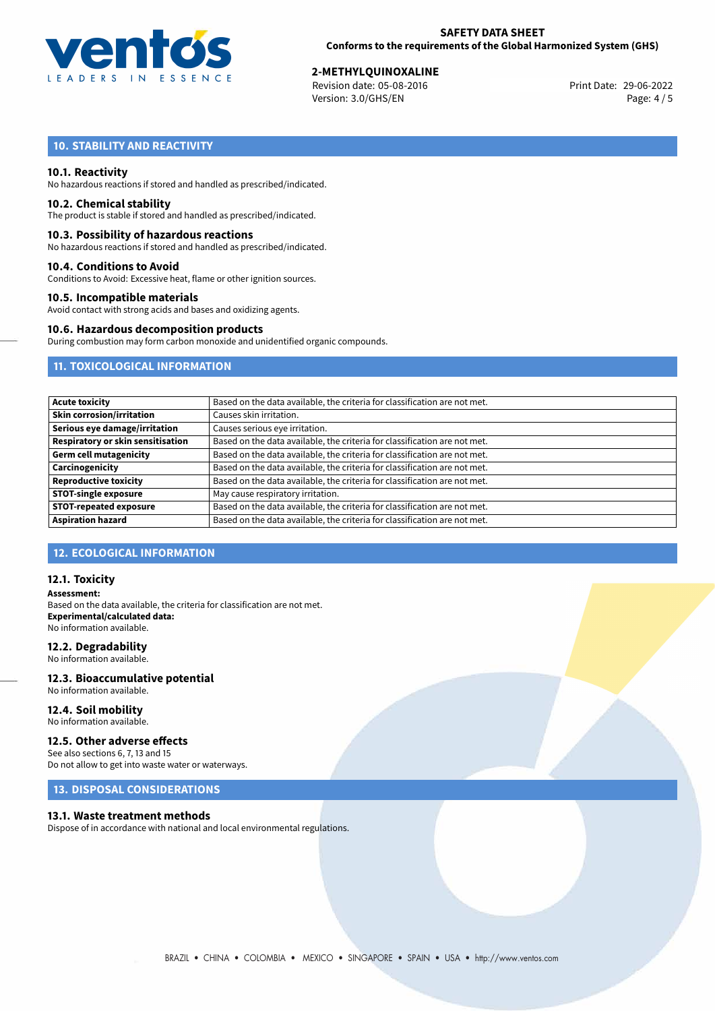

29-06-2022 **2-METHYLQUINOXALINE** Revision date: 05-08-2016 Print Date: Version: 3.0/GHS/EN Page: 4 / 5

# **10. STABILITY AND REACTIVITY**

#### **10.1. Reactivity**

No hazardous reactions if stored and handled as prescribed/indicated.

#### **10.2. Chemical stability**

The product is stable if stored and handled as prescribed/indicated.

#### **10.3. Possibility of hazardous reactions**

No hazardous reactions if stored and handled as prescribed/indicated.

#### **10.4. Conditions to Avoid**

Conditions to Avoid: Excessive heat, flame or other ignition sources.

### **10.5. Incompatible materials**

Avoid contact with strong acids and bases and oxidizing agents.

#### **10.6. Hazardous decomposition products**

During combustion may form carbon monoxide and unidentified organic compounds.

# **11. TOXICOLOGICAL INFORMATION**

| <b>Acute toxicity</b>                    | Based on the data available, the criteria for classification are not met. |
|------------------------------------------|---------------------------------------------------------------------------|
| <b>Skin corrosion/irritation</b>         | Causes skin irritation.                                                   |
| Serious eye damage/irritation            | Causes serious eye irritation.                                            |
| <b>Respiratory or skin sensitisation</b> | Based on the data available, the criteria for classification are not met. |
| <b>Germ cell mutagenicity</b>            | Based on the data available, the criteria for classification are not met. |
| Carcinogenicity                          | Based on the data available, the criteria for classification are not met. |
| <b>Reproductive toxicity</b>             | Based on the data available, the criteria for classification are not met. |
| <b>STOT-single exposure</b>              | May cause respiratory irritation.                                         |
| <b>STOT-repeated exposure</b>            | Based on the data available, the criteria for classification are not met. |
| <b>Aspiration hazard</b>                 | Based on the data available, the criteria for classification are not met. |

# **12. ECOLOGICAL INFORMATION**

#### **12.1. Toxicity**

**Assessment:** Based on the data available, the criteria for classification are not met. **Experimental/calculated data:** No information available.

#### **12.2. Degradability**

No information available.

#### **12.3. Bioaccumulative potential** No information available.

**12.4. Soil mobility**

# No information available.

### **12.5. Other adverse effects**

See also sections 6, 7, 13 and 15 Do not allow to get into waste water or waterways.

# **13. DISPOSAL CONSIDERATIONS**

#### **13.1. Waste treatment methods**

Dispose of in accordance with national and local environmental regulations.